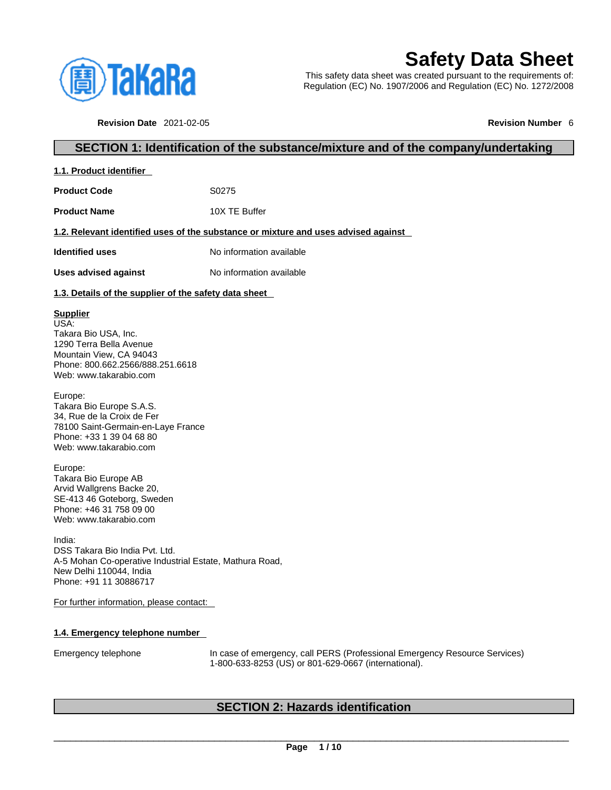

**1.1. Product identifier** 

# **Safety Data Sheet**

This safety data sheet was created pursuant to the requirements of: Regulation (EC) No. 1907/2006 and Regulation (EC) No. 1272/2008

**Revision Date** 2021-02-05 **Revision Number** 6

### **SECTION 1: Identification of the substance/mixture and of the company/undertaking**

| <b>Product Code</b>                                                                                                                                                 | S0275                                                                              |
|---------------------------------------------------------------------------------------------------------------------------------------------------------------------|------------------------------------------------------------------------------------|
| <b>Product Name</b>                                                                                                                                                 | 10X TE Buffer                                                                      |
|                                                                                                                                                                     | 1.2. Relevant identified uses of the substance or mixture and uses advised against |
| <b>Identified uses</b>                                                                                                                                              | No information available                                                           |
| <b>Uses advised against</b>                                                                                                                                         | No information available                                                           |
| 1.3. Details of the supplier of the safety data sheet                                                                                                               |                                                                                    |
| <b>Supplier</b><br>USA:<br>Takara Bio USA, Inc.<br>1290 Terra Bella Avenue<br>Mountain View, CA 94043<br>Phone: 800.662.2566/888.251.6618<br>Web: www.takarabio.com |                                                                                    |
| Europe:<br>Takara Bio Europe S.A.S.<br>34, Rue de la Croix de Fer<br>78100 Saint-Germain-en-Laye France<br>Phone: +33 1 39 04 68 80<br>Web: www.takarabio.com       |                                                                                    |
| Europe:<br>Takara Bio Europe AB<br>Arvid Wallgrens Backe 20,<br>SE-413 46 Goteborg, Sweden<br>Phone: +46 31 758 09 00<br>Web: www.takarabio.com                     |                                                                                    |
| India:<br>DSS Takara Bio India Pvt. Ltd.<br>A-5 Mohan Co-operative Industrial Estate, Mathura Road,<br>New Delhi 110044. India<br>Phone: +91 11 30886717            |                                                                                    |
| For further information, please contact:                                                                                                                            |                                                                                    |
|                                                                                                                                                                     |                                                                                    |

### **1.4. Emergency telephone number**

Emergency telephone In case of emergency, call PERS (Professional Emergency Resource Services) 1-800-633-8253 (US) or 801-629-0667 (international).

### **SECTION 2: Hazards identification**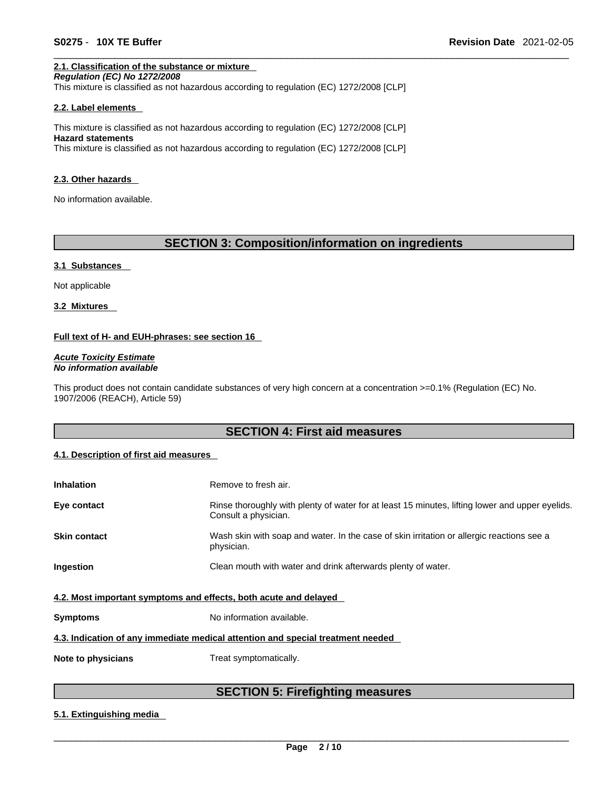### **2.1. Classification of the substance or mixture**

*Regulation (EC) No 1272/2008*  This mixture is classified as not hazardous according to regulation (EC) 1272/2008 [CLP]

#### **2.2. Label elements**

This mixture is classified as not hazardous according to regulation (EC) 1272/2008 [CLP] **Hazard statements** This mixture is classified as not hazardous according to regulation (EC) 1272/2008 [CLP]

#### **2.3. Other hazards**

No information available.

### **SECTION 3: Composition/information on ingredients**

#### **3.1 Substances**

Not applicable

**3.2 Mixtures** 

### **Full text of H- and EUH-phrases: see section 16**

*Acute Toxicity Estimate No information available* 

This product does not contain candidate substances of very high concern at a concentration >=0.1% (Regulation (EC) No. 1907/2006 (REACH), Article 59)

### **SECTION 4: First aid measures**

### **4.1. Description of first aid measures**

| <b>Inhalation</b>                                                | Remove to fresh air.                                                                                                    |
|------------------------------------------------------------------|-------------------------------------------------------------------------------------------------------------------------|
| Eye contact                                                      | Rinse thoroughly with plenty of water for at least 15 minutes, lifting lower and upper eyelids.<br>Consult a physician. |
| <b>Skin contact</b>                                              | Wash skin with soap and water. In the case of skin irritation or allergic reactions see a<br>physician.                 |
| Ingestion                                                        | Clean mouth with water and drink afterwards plenty of water.                                                            |
| 4.2. Most important symptoms and effects, both acute and delayed |                                                                                                                         |
| <b>Symptoms</b>                                                  | No information available.                                                                                               |
|                                                                  | 4.3. Indication of any immediate medical attention and special treatment needed                                         |
| Note to physicians                                               | Treat symptomatically.                                                                                                  |

### **SECTION 5: Firefighting measures**

### **5.1. Extinguishing media**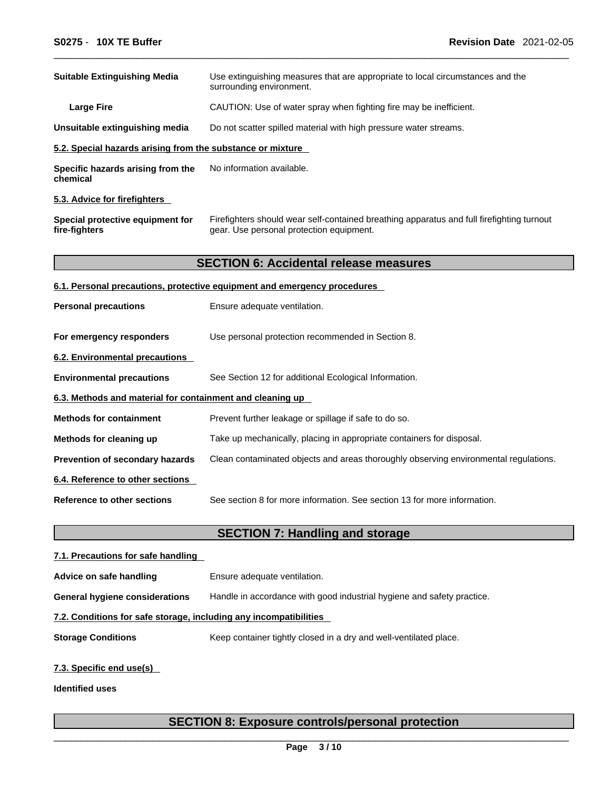| <b>Suitable Extinguishing Media</b>                        | Use extinguishing measures that are appropriate to local circumstances and the<br>surrounding environment.                            |  |
|------------------------------------------------------------|---------------------------------------------------------------------------------------------------------------------------------------|--|
| <b>Large Fire</b>                                          | CAUTION: Use of water spray when fighting fire may be inefficient.                                                                    |  |
| Unsuitable extinguishing media                             | Do not scatter spilled material with high pressure water streams.                                                                     |  |
| 5.2. Special hazards arising from the substance or mixture |                                                                                                                                       |  |
| Specific hazards arising from the<br>chemical              | No information available.                                                                                                             |  |
| 5.3. Advice for firefighters                               |                                                                                                                                       |  |
| Special protective equipment for<br>fire-fighters          | Firefighters should wear self-contained breathing apparatus and full firefighting turnout<br>gear. Use personal protection equipment. |  |
|                                                            | <b>SECTION 6: Accidental release measures</b>                                                                                         |  |
|                                                            | 6.1. Personal precautions, protective equipment and emergency procedures                                                              |  |
| <b>Personal precautions</b>                                | Ensure adequate ventilation.                                                                                                          |  |
| For emergency responders                                   | Use personal protection recommended in Section 8.                                                                                     |  |
| <b>6.2. Environmental precautions</b>                      |                                                                                                                                       |  |
| <b>Environmental precautions</b>                           | See Section 12 for additional Ecological Information.                                                                                 |  |
| 6.3. Methods and material for containment and cleaning up  |                                                                                                                                       |  |
| <b>Methods for containment</b>                             | Prevent further leakage or spillage if safe to do so.                                                                                 |  |
| Methods for cleaning up                                    | Take up mechanically, placing in appropriate containers for disposal.                                                                 |  |
| Prevention of secondary hazards                            | Clean contaminated objects and areas thoroughly observing environmental regulations.                                                  |  |
| 6.4. Reference to other sections                           |                                                                                                                                       |  |
| Reference to other sections                                | See section 8 for more information. See section 13 for more information.                                                              |  |
|                                                            | <b>SECTION 7: Handling and storage</b>                                                                                                |  |
| 7.1. Precautions for safe handling                         |                                                                                                                                       |  |
| Advice on safe handling                                    | Ensure adequate ventilation.                                                                                                          |  |

**General hygiene considerations** Handle in accordance with good industrial hygiene and safety practice.

### **7.2. Conditions for safe storage, including any incompatibilities**

**Storage Conditions** Keep container tightly closed in a dry and well-ventilated place.

### **7.3. Specific end use(s)**

**Identified uses**

## **SECTION 8: Exposure controls/personal protection**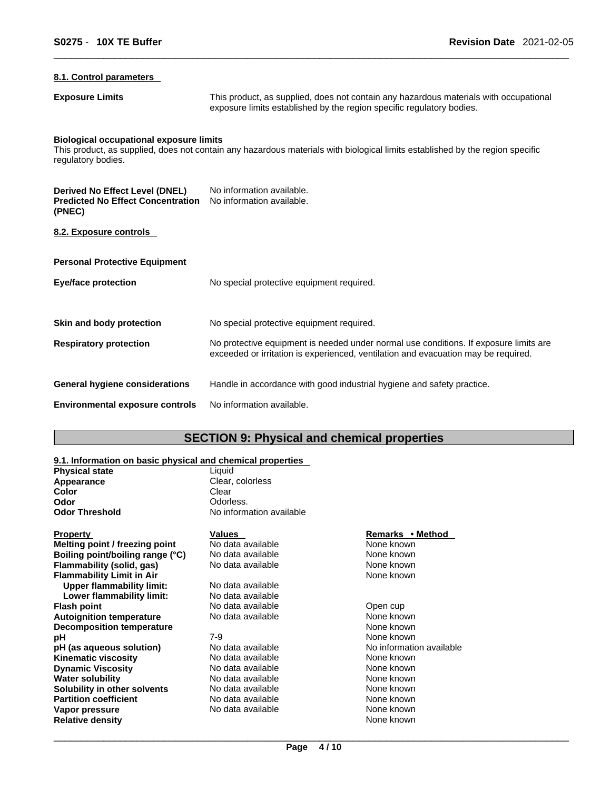### **8.1. Control parameters**

**Exposure Limits** This product, as supplied, does not contain any hazardous materials with occupational exposure limits established by the region specific regulatory bodies.

#### **Biological occupational exposure limits**

This product, as supplied, does not contain any hazardous materials with biological limits established by the region specific regulatory bodies.

| Derived No Effect Level (DNEL)<br><b>Predicted No Effect Concentration</b><br>(PNEC) | No information available.<br>No information available.                                                                                                                      |
|--------------------------------------------------------------------------------------|-----------------------------------------------------------------------------------------------------------------------------------------------------------------------------|
| 8.2. Exposure controls                                                               |                                                                                                                                                                             |
| <b>Personal Protective Equipment</b>                                                 |                                                                                                                                                                             |
| <b>Eye/face protection</b>                                                           | No special protective equipment required.                                                                                                                                   |
| Skin and body protection                                                             | No special protective equipment required.                                                                                                                                   |
| <b>Respiratory protection</b>                                                        | No protective equipment is needed under normal use conditions. If exposure limits are<br>exceeded or irritation is experienced, ventilation and evacuation may be required. |
| <b>General hygiene considerations</b>                                                | Handle in accordance with good industrial hygiene and safety practice.                                                                                                      |
| <b>Environmental exposure controls</b>                                               | No information available.                                                                                                                                                   |

### **SECTION 9: Physical and chemical properties**

### **9.1. Information on basic physical and chemical properties**

| <b>Physical state</b>            | Liquid                   |                          |
|----------------------------------|--------------------------|--------------------------|
| Appearance                       | Clear, colorless         |                          |
| <b>Color</b>                     | Clear                    |                          |
| Odor                             | Odorless.                |                          |
| <b>Odor Threshold</b>            | No information available |                          |
| <b>Property</b>                  | Values                   | Remarks • Method         |
| Melting point / freezing point   | No data available        | None known               |
| Boiling point/boiling range (°C) | No data available        | None known               |
| Flammability (solid, gas)        | No data available        | None known               |
| <b>Flammability Limit in Air</b> |                          | None known               |
| <b>Upper flammability limit:</b> | No data available        |                          |
| Lower flammability limit:        | No data available        |                          |
| <b>Flash point</b>               | No data available        | Open cup                 |
| <b>Autoignition temperature</b>  | No data available        | None known               |
| <b>Decomposition temperature</b> |                          | None known               |
| рH                               | $7-9$                    | None known               |
| pH (as aqueous solution)         | No data available        | No information available |
| <b>Kinematic viscosity</b>       | No data available        | None known               |
| <b>Dynamic Viscosity</b>         | No data available        | None known               |
| <b>Water solubility</b>          | No data available        | None known               |
| Solubility in other solvents     | No data available        | None known               |
| <b>Partition coefficient</b>     | No data available        | None known               |
| Vapor pressure                   | No data available        | None known               |
| <b>Relative density</b>          |                          | None known               |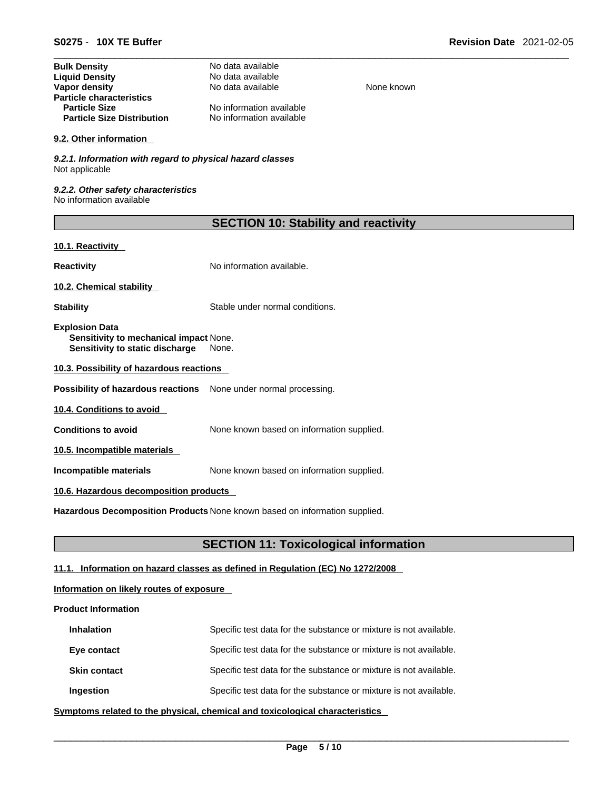| <b>Bulk Density</b>               | No data available        |
|-----------------------------------|--------------------------|
| <b>Liquid Density</b>             | No data available        |
| Vapor density                     | No data available        |
| <b>Particle characteristics</b>   |                          |
| <b>Particle Size</b>              | No information available |
| <b>Particle Size Distribution</b> | No information available |

#### **9.2. Other information**

*9.2.1. Information with regard to physical hazard classes* Not applicable

*9.2.2. Other safety characteristics* No information available

| <b>SECTION 10: Stability and reactivity</b> |  |
|---------------------------------------------|--|
|---------------------------------------------|--|

**None known** 

### **10.1. Reactivity**

**Reactivity No information available.** 

**10.2. Chemical stability** 

**Stability** Stable under normal conditions.

**Explosion Data Sensitivity to mechanical impact** None. **Sensitivity to static discharge** None.

**10.3. Possibility of hazardous reactions**

**Possibility of hazardous reactions** None under normal processing.

**10.4. Conditions to avoid** 

**Conditions to avoid** None known based on information supplied.

**10.5. Incompatible materials**

**Incompatible materials** None known based on information supplied.

### **10.6. Hazardous decomposition products**

**Hazardous Decomposition Products** None known based on information supplied.

### **SECTION 11: Toxicological information**

### **11.1. Information on hazard classes as defined in Regulation (EC) No 1272/2008**

### **Information on likely routes of exposure**

### **Product Information**

| <b>Inhalation</b>   | Specific test data for the substance or mixture is not available. |
|---------------------|-------------------------------------------------------------------|
| Eye contact         | Specific test data for the substance or mixture is not available. |
| <b>Skin contact</b> | Specific test data for the substance or mixture is not available. |
| Ingestion           | Specific test data for the substance or mixture is not available. |

**<u>Symptoms related to the physical, chemical and toxicological characteristics</u>**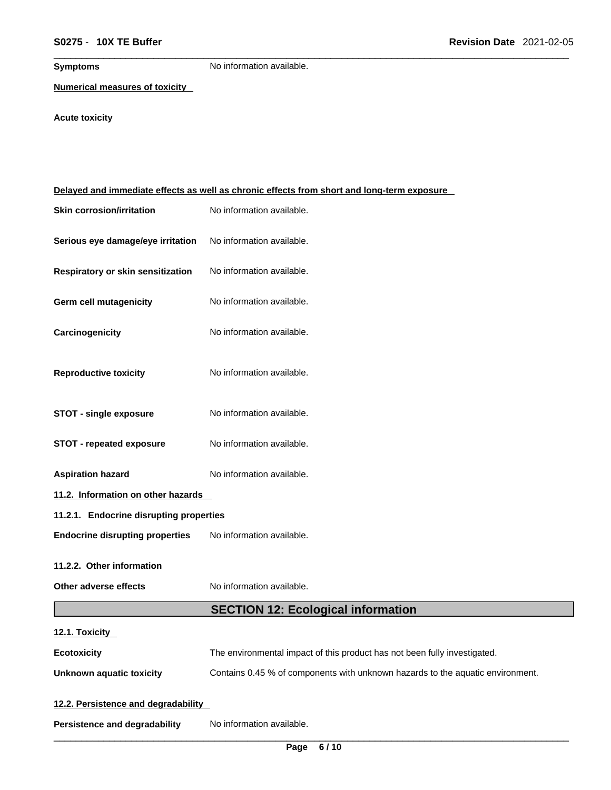**Symptoms** No information available.

**Numerical measures of toxicity**

## **Acute toxicity**

|                                         | Delayed and immediate effects as well as chronic effects from short and long-term exposure |  |
|-----------------------------------------|--------------------------------------------------------------------------------------------|--|
| <b>Skin corrosion/irritation</b>        | No information available.                                                                  |  |
| Serious eye damage/eye irritation       | No information available.                                                                  |  |
| Respiratory or skin sensitization       | No information available.                                                                  |  |
| Germ cell mutagenicity                  | No information available.                                                                  |  |
| Carcinogenicity                         | No information available.                                                                  |  |
| <b>Reproductive toxicity</b>            | No information available.                                                                  |  |
| <b>STOT - single exposure</b>           | No information available.                                                                  |  |
| <b>STOT - repeated exposure</b>         | No information available.                                                                  |  |
| <b>Aspiration hazard</b>                | No information available.                                                                  |  |
| 11.2. Information on other hazards      |                                                                                            |  |
| 11.2.1. Endocrine disrupting properties |                                                                                            |  |
| <b>Endocrine disrupting properties</b>  | No information available.                                                                  |  |
| 11.2.2. Other information               |                                                                                            |  |
| Other adverse effects                   | No information available.                                                                  |  |
|                                         | <b>SECTION 12: Ecological information</b>                                                  |  |
| 12.1. Toxicity                          |                                                                                            |  |
| <b>Ecotoxicity</b>                      | The environmental impact of this product has not been fully investigated.                  |  |
| <b>Unknown aquatic toxicity</b>         | Contains 0.45 % of components with unknown hazards to the aquatic environment.             |  |
| 12.2. Persistence and degradability     |                                                                                            |  |
| <b>Persistence and degradability</b>    | No information available.                                                                  |  |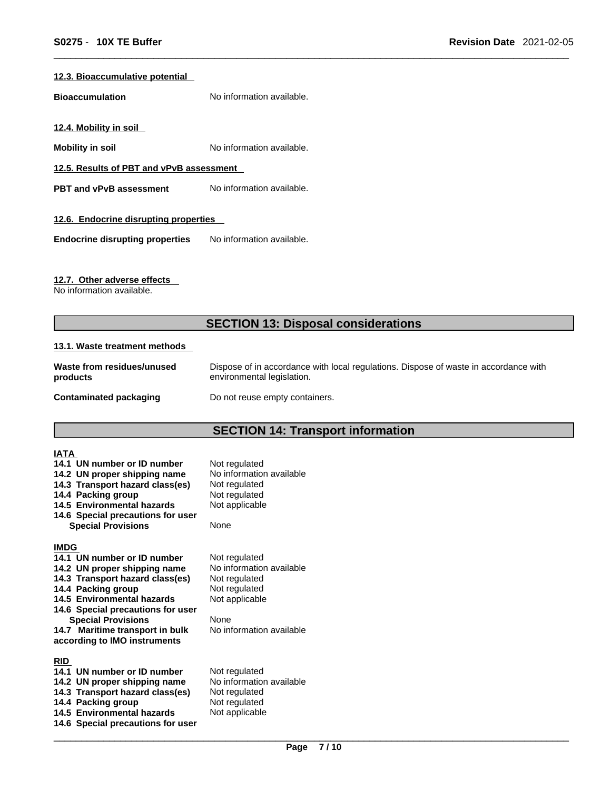### **12.3. Bioaccumulative potential**

**Bioaccumulation** No information available.

**12.4. Mobility in soil** 

**Mobility in soil** No information available.

**12.5. Results of PBT and vPvB assessment**

**PBT** and **vPvB** assessment No information available.

### **12.6. Endocrine disrupting properties**

**Endocrine disrupting properties** No information available.

### **12.7. Other adverse effects**

No information available.

### **SECTION 13: Disposal considerations**

#### **13.1. Waste treatment methods**

| Waste from residues/unused | Dispose of in accordance with local regulations. Dispose of waste in accordance with |
|----------------------------|--------------------------------------------------------------------------------------|
| products                   | environmental legislation.                                                           |
| Contaminated packaging     | Do not reuse empty containers.                                                       |

## **SECTION 14: Transport information**

| <b>IATA</b>                                                 |                                           |
|-------------------------------------------------------------|-------------------------------------------|
| 14.1 UN number or ID number<br>14.2 UN proper shipping name | Not regulated<br>No information available |
| 14.3 Transport hazard class(es)                             | Not regulated                             |
| 14.4 Packing group                                          | Not regulated                             |
| 14.5 Environmental hazards                                  | Not applicable                            |
| 14.6 Special precautions for user                           |                                           |
| <b>Special Provisions</b>                                   | None                                      |
| <b>IMDG</b>                                                 |                                           |
| 14.1 UN number or ID number                                 | Not regulated                             |
| 14.2 UN proper shipping name                                | No information available                  |
| 14.3 Transport hazard class(es)                             | Not regulated                             |
| 14.4 Packing group<br>14.5 Environmental hazards            | Not regulated                             |
| 14.6 Special precautions for user                           | Not applicable                            |
| <b>Special Provisions</b>                                   | None                                      |
| 14.7 Maritime transport in bulk                             | No information available                  |
| according to IMO instruments                                |                                           |
| <b>RID</b>                                                  |                                           |
| 14.1 UN number or ID number                                 | Not regulated                             |
| 14.2 UN proper shipping name                                | No information available                  |
| 14.3 Transport hazard class(es)                             | Not regulated                             |
| 14.4 Packing group<br>14.5 Environmental hazards            | Not regulated<br>Not applicable           |
| 14.6 Special precautions for user                           |                                           |
|                                                             |                                           |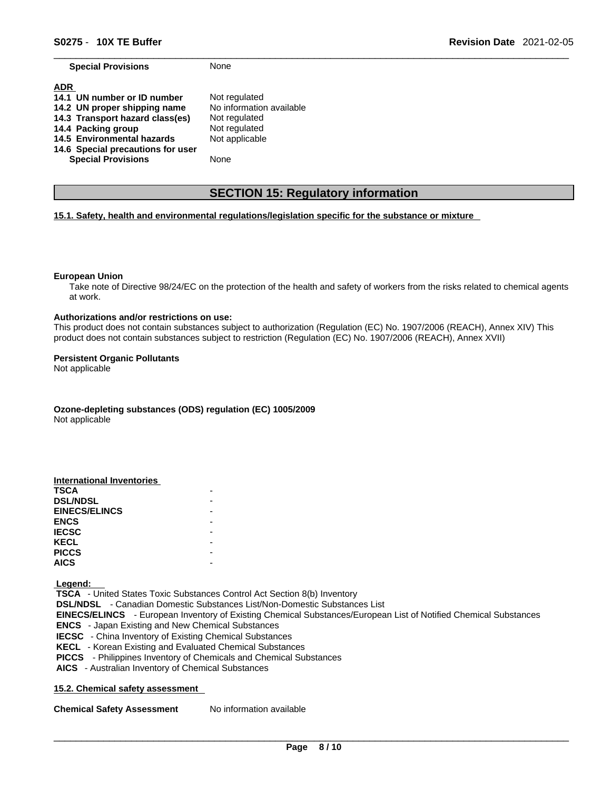**Special Provisions** None

| <b>ADR</b>                        |                          |
|-----------------------------------|--------------------------|
| 14.1 UN number or ID number       | Not regulated            |
| 14.2 UN proper shipping name      | No information available |
| 14.3 Transport hazard class(es)   | Not regulated            |
| 14.4 Packing group                | Not regulated            |
| 14.5 Environmental hazards        | Not applicable           |
| 14.6 Special precautions for user |                          |
| <b>Special Provisions</b>         | None                     |

### **SECTION 15: Regulatory information**

### **15.1. Safety, health and environmental regulations/legislation specific for the substance or mixture**

#### **European Union**

Take note of Directive 98/24/EC on the protection of the health and safety of workers from the risks related to chemical agents at work.

#### **Authorizations and/or restrictions on use:**

This product does not contain substances subject to authorization (Regulation (EC) No. 1907/2006 (REACH), Annex XIV) This product does not contain substances subject to restriction (Regulation (EC) No. 1907/2006 (REACH), Annex XVII)

#### **Persistent Organic Pollutants**

Not applicable

**Ozone-depleting substances (ODS) regulation (EC) 1005/2009**

Not applicable

| <b>International Inventories</b> |  |
|----------------------------------|--|
| <b>TSCA</b>                      |  |
| <b>DSL/NDSL</b>                  |  |
| <b>EINECS/ELINCS</b>             |  |
| <b>ENCS</b>                      |  |
| <b>IECSC</b>                     |  |
| <b>KECL</b>                      |  |
| <b>PICCS</b>                     |  |
| <b>AICS</b>                      |  |

 **Legend:** 

 **TSCA** - United States Toxic Substances Control Act Section 8(b) Inventory  **DSL/NDSL** - Canadian Domestic Substances List/Non-Domestic Substances List  **EINECS/ELINCS** - European Inventory of Existing Chemical Substances/European List of Notified Chemical Substances  **ENCS** - Japan Existing and New Chemical Substances  **IECSC** - China Inventory of Existing Chemical Substances  **KECL** - Korean Existing and Evaluated Chemical Substances  **PICCS** - Philippines Inventory of Chemicals and Chemical Substances  **AICS** - Australian Inventory of Chemical Substances

### **15.2. Chemical safety assessment**

**Chemical Safety Assessment** No information available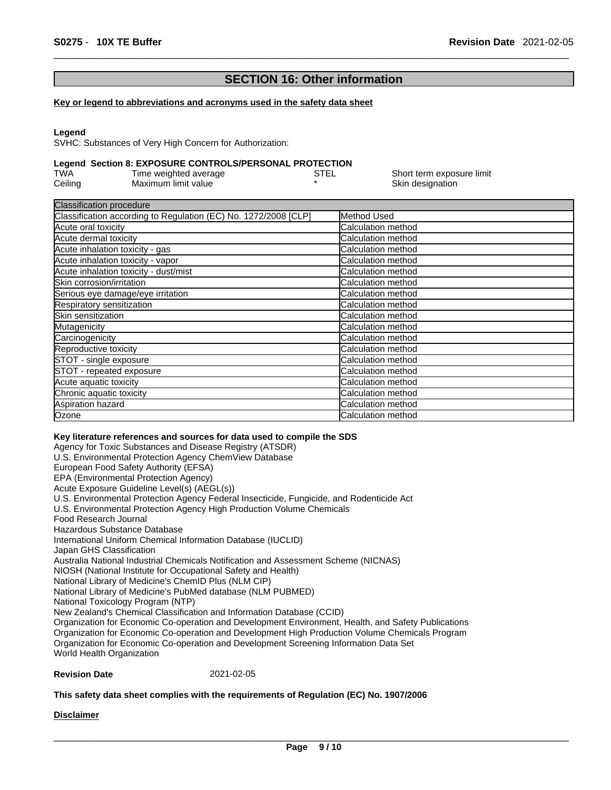### **SECTION 16: Other information**

#### **Key or legend to abbreviations and acronyms used in the safety data sheet**

#### **Legend**

SVHC: Substances of Very High Concern for Authorization:

### **Legend Section 8: EXPOSURE CONTROLS/PERSONAL PROTECTION**

| TWA     | Time weighted average | STEL | Short term exposure limit |
|---------|-----------------------|------|---------------------------|
| Ceiling | Maximum limit value   |      | Skin designation          |

| <b>Classification procedure</b>                                 |                           |  |
|-----------------------------------------------------------------|---------------------------|--|
| Classification according to Regulation (EC) No. 1272/2008 [CLP] | Method Used               |  |
| Acute oral toxicity                                             | Calculation method        |  |
| Acute dermal toxicity                                           | Calculation method        |  |
| Acute inhalation toxicity - gas                                 | Calculation method        |  |
| Acute inhalation toxicity - vapor                               | Calculation method        |  |
| Acute inhalation toxicity - dust/mist                           | Calculation method        |  |
| Skin corrosion/irritation                                       | Calculation method        |  |
| Serious eye damage/eye irritation                               | Calculation method        |  |
| Respiratory sensitization                                       | Calculation method        |  |
| Skin sensitization                                              | Calculation method        |  |
| Mutagenicity                                                    | Calculation method        |  |
| Carcinogenicity                                                 | Calculation method        |  |
| Reproductive toxicity                                           | <b>Calculation method</b> |  |
| STOT - single exposure                                          | Calculation method        |  |
| STOT - repeated exposure                                        | Calculation method        |  |
| Acute aquatic toxicity                                          | Calculation method        |  |
| Chronic aquatic toxicity                                        | Calculation method        |  |
| Aspiration hazard                                               | Calculation method        |  |
| Ozone                                                           | Calculation method        |  |

### **Key literature references and sources for data used to compile the SDS**

Agency for Toxic Substances and Disease Registry (ATSDR) U.S. Environmental Protection Agency ChemView Database European Food Safety Authority (EFSA) EPA (Environmental Protection Agency) Acute Exposure Guideline Level(s) (AEGL(s)) U.S. Environmental Protection Agency Federal Insecticide, Fungicide, and Rodenticide Act U.S. Environmental Protection Agency High Production Volume Chemicals Food Research Journal Hazardous Substance Database International Uniform Chemical Information Database (IUCLID) Japan GHS Classification Australia National Industrial Chemicals Notification and Assessment Scheme (NICNAS) NIOSH (National Institute for Occupational Safety and Health) National Library of Medicine's ChemID Plus (NLM CIP) National Library of Medicine's PubMed database (NLM PUBMED) National Toxicology Program (NTP) New Zealand's Chemical Classification and Information Database (CCID) Organization for Economic Co-operation and Development Environment, Health, and Safety Publications Organization for Economic Co-operation and Development High Production Volume Chemicals Program Organization for Economic Co-operation and Development Screening Information Data Set World Health Organization

#### **Revision Date** 2021-02-05

### **This safety data sheet complies with the requirements of Regulation (EC) No. 1907/2006**

### **Disclaimer**